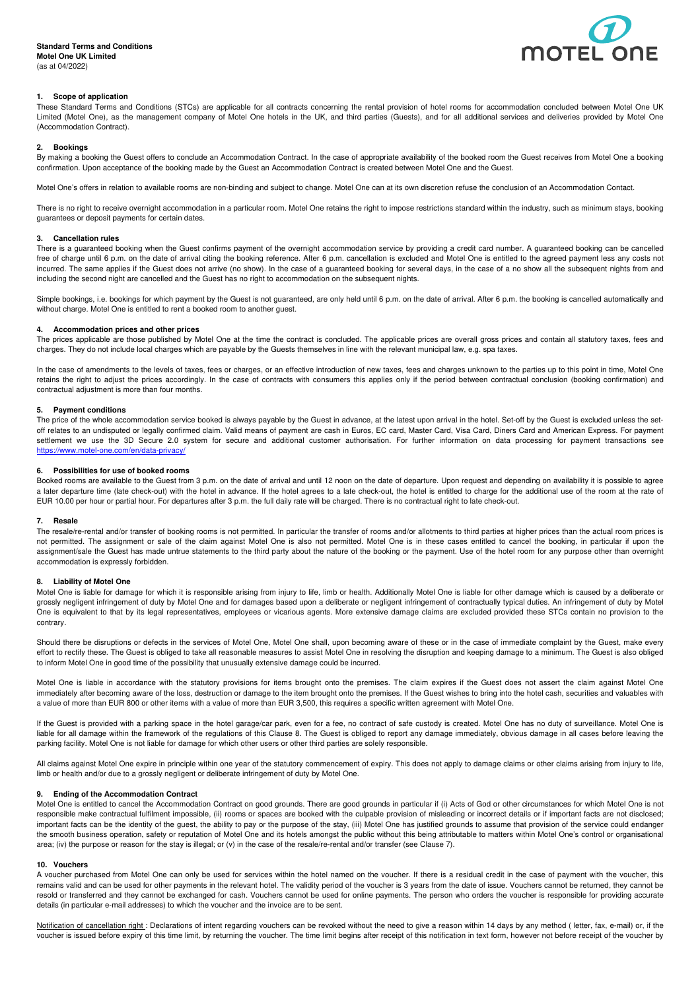

# **1. Scope of application**

These Standard Terms and Conditions (STCs) are applicable for all contracts concerning the rental provision of hotel rooms for accommodation concluded between Motel One UK Limited (Motel One), as the management company of Motel One hotels in the UK, and third parties (Guests), and for all additional services and deliveries provided by Motel One (Accommodation Contract).

### **2. Bookings**

By making a booking the Guest offers to conclude an Accommodation Contract. In the case of appropriate availability of the booked room the Guest receives from Motel One a booking confirmation. Upon acceptance of the booking made by the Guest an Accommodation Contract is created between Motel One and the Guest.

Motel One's offers in relation to available rooms are non-binding and subject to change. Motel One can at its own discretion refuse the conclusion of an Accommodation Contact.

There is no right to receive overnight accommodation in a particular room. Motel One retains the right to impose restrictions standard within the industry, such as minimum stays, booking guarantees or deposit payments for certain dates.

# **3. Cancellation rules**

There is a guaranteed booking when the Guest confirms payment of the overnight accommodation service by providing a credit card number. A guaranteed booking can be cancelled free of charge until 6 p.m. on the date of arrival citing the booking reference. After 6 p.m. cancellation is excluded and Motel One is entitled to the agreed payment less any costs not incurred. The same applies if the Guest does not arrive (no show). In the case of a guaranteed booking for several days, in the case of a no show all the subsequent nights from and including the second night are cancelled and the Guest has no right to accommodation on the subsequent nights.

Simple bookings, i.e. bookings for which payment by the Guest is not guaranteed, are only held until 6 p.m. on the date of arrival. After 6 p.m. the booking is cancelled automatically and without charge. Motel One is entitled to rent a booked room to another guest.

### **4. Accommodation prices and other prices**

The prices applicable are those published by Motel One at the time the contract is concluded. The applicable prices are overall gross prices and contain all statutory taxes, fees and charges. They do not include local charges which are payable by the Guests themselves in line with the relevant municipal law, e.g. spa taxes.

In the case of amendments to the levels of taxes, fees or charges, or an effective introduction of new taxes, fees and charges unknown to the parties up to this point in time, Motel One retains the right to adjust the prices accordingly. In the case of contracts with consumers this applies only if the period between contractual conclusion (booking confirmation) and contractual adjustment is more than four months.

### **5. Payment conditions**

The price of the whole accommodation service booked is always payable by the Guest in advance, at the latest upon arrival in the hotel. Set-off by the Guest is excluded unless the setoff relates to an undisputed or legally confirmed claim. Valid means of payment are cash in Euros, EC card, Master Card, Visa Card, Diners Card and American Express. For payment settlement we use the 3D Secure 2.0 system for secure and additional customer authorisation. For further information on data processing for payment transactions see https://www.motel-one.com/en/data-privacy/

#### **6. Possibilities for use of booked rooms**

Booked rooms are available to the Guest from 3 p.m. on the date of arrival and until 12 noon on the date of departure. Upon request and depending on availability it is possible to agree a later departure time (late check-out) with the hotel in advance. If the hotel agrees to a late check-out, the hotel is entitled to charge for the additional use of the room at the rate of EUR 10.00 per hour or partial hour. For departures after 3 p.m. the full daily rate will be charged. There is no contractual right to late check-out.

#### **7. Resale**

The resale/re-rental and/or transfer of booking rooms is not permitted. In particular the transfer of rooms and/or allotments to third parties at higher prices than the actual room prices is not permitted. The assignment or sale of the claim against Motel One is also not permitted. Motel One is in these cases entitled to cancel the booking, in particular if upon the assignment/sale the Guest has made untrue statements to the third party about the nature of the booking or the payment. Use of the hotel room for any purpose other than overnight accommodation is expressly forbidden.

### **8. Liability of Motel One**

Motel One is liable for damage for which it is responsible arising from injury to life, limb or health. Additionally Motel One is liable for other damage which is caused by a deliberate or grossly negligent infringement of duty by Motel One and for damages based upon a deliberate or negligent infringement of contractually typical duties. An infringement of duty by Motel One is equivalent to that by its legal representatives, employees or vicarious agents. More extensive damage claims are excluded provided these STCs contain no provision to the contrary.

Should there be disruptions or defects in the services of Motel One, Motel One shall, upon becoming aware of these or in the case of immediate complaint by the Guest, make every effort to rectify these. The Guest is obliged to take all reasonable measures to assist Motel One in resolving the disruption and keeping damage to a minimum. The Guest is also obliged to inform Motel One in good time of the possibility that unusually extensive damage could be incurred.

Motel One is liable in accordance with the statutory provisions for items brought onto the premises. The claim expires if the Guest does not assert the claim against Motel One immediately after becoming aware of the loss, destruction or damage to the item brought onto the premises. If the Guest wishes to bring into the hotel cash, securities and valuables with a value of more than EUR 800 or other items with a value of more than EUR 3,500, this requires a specific written agreement with Motel One.

If the Guest is provided with a parking space in the hotel garage/car park, even for a fee, no contract of safe custody is created. Motel One has no duty of surveillance. Motel One is liable for all damage within the framework of the regulations of this Clause 8. The Guest is obliged to report any damage immediately, obvious damage in all cases before leaving the parking facility. Motel One is not liable for damage for which other users or other third parties are solely responsible.

All claims against Motel One expire in principle within one year of the statutory commencement of expiry. This does not apply to damage claims or other claims arising from injury to life, limb or health and/or due to a grossly negligent or deliberate infringement of duty by Motel One.

### **9. Ending of the Accommodation Contract**

Motel One is entitled to cancel the Accommodation Contract on good grounds. There are good grounds in particular if (i) Acts of God or other circumstances for which Motel One is not responsible make contractual fulfilment impossible, (ii) rooms or spaces are booked with the culpable provision of misleading or incorrect details or if important facts are not disclosed; important facts can be the identity of the guest, the ability to pay or the purpose of the stay, (iii) Motel One has justified grounds to assume that provision of the service could endanger the smooth business operation, safety or reputation of Motel One and its hotels amongst the public without this being attributable to matters within Motel One's control or organisational area; (iv) the purpose or reason for the stay is illegal; or (v) in the case of the resale/re-rental and/or transfer (see Clause 7).

#### **10. Vouchers**

A voucher purchased from Motel One can only be used for services within the hotel named on the voucher. If there is a residual credit in the case of payment with the voucher, this remains valid and can be used for other payments in the relevant hotel. The validity period of the voucher is 3 years from the date of issue. Vouchers cannot be returned, they cannot be resold or transferred and they cannot be exchanged for cash. Vouchers cannot be used for online payments. The person who orders the voucher is responsible for providing accurate details (in particular e-mail addresses) to which the voucher and the invoice are to be sent.

Notification of cancellation right : Declarations of intent regarding vouchers can be revoked without the need to give a reason within 14 days by any method (letter, fax, e-mail) or, if the voucher is issued before expiry of this time limit, by returning the voucher. The time limit begins after receipt of this notification in text form, however not before receipt of the voucher by